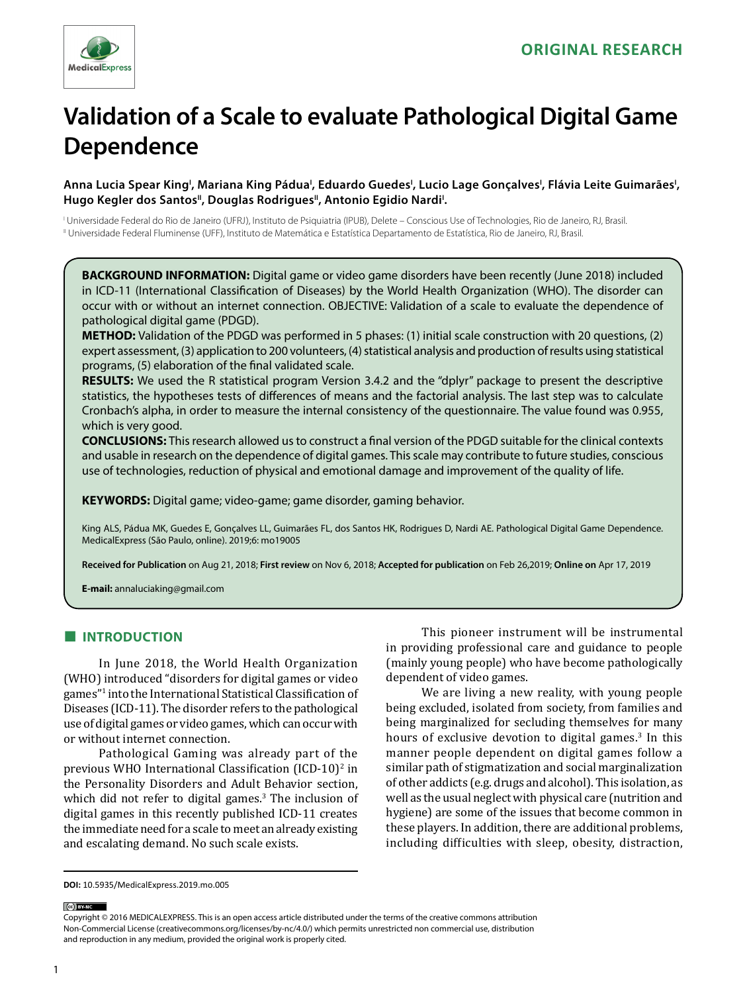

# **Validation of a Scale to evaluate Pathological Digital Game Dependence**

Anna Lucia Spear King<sup>ı</sup>, Mariana King Pádua<sup>ı</sup>, Eduardo Guedes<sup>ı</sup>, Lucio Lage Gonçalves<sup>ı</sup>, Flávia Leite Guimarães<sup>ı</sup>, Hugo Kegler dos Santos", Douglas Rodrigues", Antonio Egidio Nardi<sup>!</sup>.

I Universidade Federal do Rio de Janeiro (UFRJ), Instituto de Psiquiatria (IPUB), Delete – Conscious Use of Technologies, Rio de Janeiro, RJ, Brasil. II Universidade Federal Fluminense (UFF), Instituto de Matemática e Estatística Departamento de Estatística, Rio de Janeiro, RJ, Brasil.

**BACKGROUND INFORMATION:** Digital game or video game disorders have been recently (June 2018) included in ICD-11 (International Classification of Diseases) by the World Health Organization (WHO). The disorder can occur with or without an internet connection. OBJECTIVE: Validation of a scale to evaluate the dependence of pathological digital game (PDGD).

**METHOD:** Validation of the PDGD was performed in 5 phases: (1) initial scale construction with 20 questions, (2) expert assessment, (3) application to 200 volunteers, (4) statistical analysis and production of results using statistical programs, (5) elaboration of the final validated scale.

**RESULTS:** We used the R statistical program Version 3.4.2 and the "dplyr" package to present the descriptive statistics, the hypotheses tests of differences of means and the factorial analysis. The last step was to calculate Cronbach's alpha, in order to measure the internal consistency of the questionnaire. The value found was 0.955, which is very good.

**CONCLUSIONS:** This research allowed us to construct a final version of the PDGD suitable for the clinical contexts and usable in research on the dependence of digital games. This scale may contribute to future studies, conscious use of technologies, reduction of physical and emotional damage and improvement of the quality of life.

**KEYWORDS:** Digital game; video-game; game disorder, gaming behavior.

King ALS, Pádua MK, Guedes E, Gonçalves LL, Guimarães FL, dos Santos HK, Rodrigues D, Nardi AE. Pathological Digital Game Dependence. MedicalExpress (São Paulo, online). 2019;6: mo19005

**Received for Publication** on Aug 21, 2018; **First review** on Nov 6, 2018; **Accepted for publication** on Feb 26,2019; **Online on** Apr 17, 2019

**E-mail:** annaluciaking@gmail.com

# **■ INTRODUCTION**

In June 2018, the World Health Organization (WHO) introduced "disorders for digital games or video games"<sup>1</sup> into the International Statistical Classification of Diseases (ICD-11). The disorder refers to the pathological use of digital games or video games, which can occur with or without internet connection.

Pathological Gaming was already part of the previous WHO International Classification (ICD-10)<sup>2</sup> in the Personality Disorders and Adult Behavior section, which did not refer to digital games.<sup>3</sup> The inclusion of digital games in this recently published ICD-11 creates the immediate need for a scale to meet an already existing and escalating demand. No such scale exists.

This pioneer instrument will be instrumental in providing professional care and guidance to people (mainly young people) who have become pathologically dependent of video games.

We are living a new reality, with young people being excluded, isolated from society, from families and being marginalized for secluding themselves for many hours of exclusive devotion to digital games.<sup>3</sup> In this manner people dependent on digital games follow a similar path of stigmatization and social marginalization of other addicts (e.g. drugs and alcohol). This isolation, as well as the usual neglect with physical care (nutrition and hygiene) are some of the issues that become common in these players. In addition, there are additional problems, including difficulties with sleep, obesity, distraction,

(ce) BY-NC

Copyright © 2016 MEDICALEXPRESS. This is an open access article distributed under the terms of the creative commons attribution Non-Commercial License [\(creativecommons.org/licenses/by-nc/4.0/\)](http://creativecommons.org/licenses/by-nc/3.0/) which permits unrestricted non commercial use, distribution and reproduction in any medium, provided the original work is properly cited.

**DOI:** 10.5935/MedicalExpress.2019.mo.005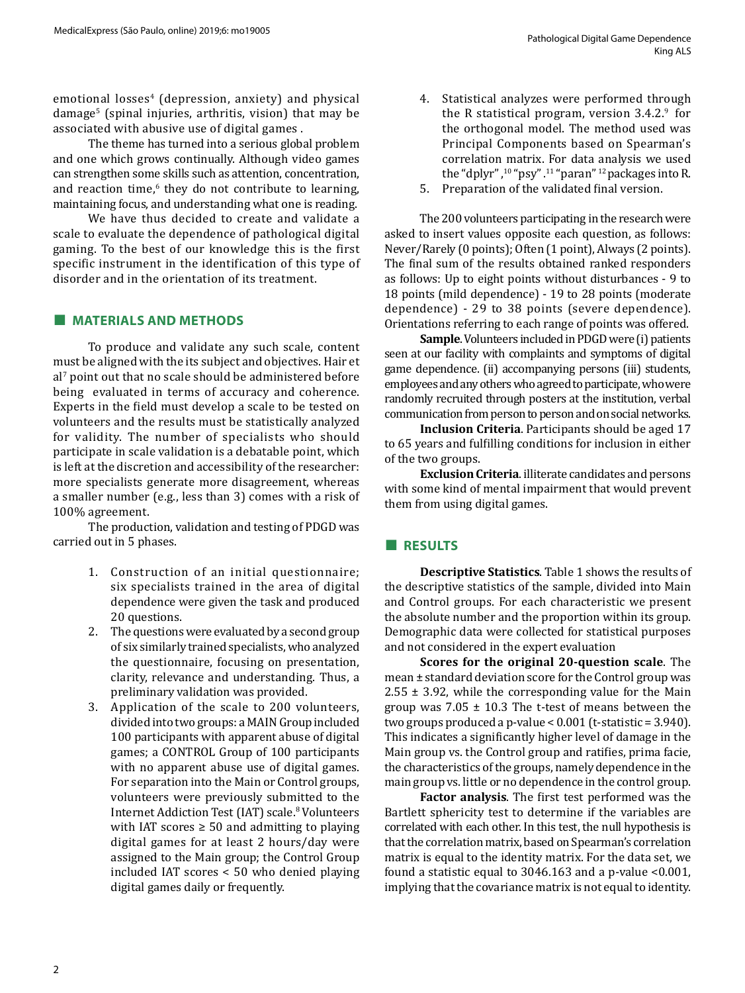emotional losses<sup>4</sup> (depression, anxiety) and physical damage<sup>5</sup> (spinal injuries, arthritis, vision) that may be associated with abusive use of digital games .

The theme has turned into a serious global problem and one which grows continually. Although video games can strengthen some skills such as attention, concentration, and reaction time,<sup>6</sup> they do not contribute to learning, maintaining focus, and understanding what one is reading.

We have thus decided to create and validate a scale to evaluate the dependence of pathological digital gaming. To the best of our knowledge this is the first specific instrument in the identification of this type of disorder and in the orientation of its treatment.

#### **■ MATERIALS AND METHODS**

To produce and validate any such scale, content must be aligned with the its subject and objectives. Hair et al' point out that no scale should be administered before being evaluated in terms of accuracy and coherence. Experts in the field must develop a scale to be tested on volunteers and the results must be statistically analyzed for validity. The number of specialists who should participate in scale validation is a debatable point, which is left at the discretion and accessibility of the researcher: more specialists generate more disagreement, whereas a smaller number (e.g., less than 3) comes with a risk of 100% agreement.

The production, validation and testing of PDGD was carried out in 5 phases.

- 1. Construction of an initial questionnaire; six specialists trained in the area of digital dependence were given the task and produced 20 questions.
- 2. The questions were evaluated by a second group of six similarly trained specialists, who analyzed the questionnaire, focusing on presentation, clarity, relevance and understanding. Thus, a preliminary validation was provided.
- 3. Application of the scale to 200 volunteers, divided into two groups: a MAIN Group included 100 participants with apparent abuse of digital games; a CONTROL Group of 100 participants with no apparent abuse use of digital games. For separation into the Main or Control groups, volunteers were previously submitted to the Internet Addiction Test (IAT) scale.<sup>8</sup> Volunteers with IAT scores  $\geq$  50 and admitting to playing digital games for at least 2 hours/day were assigned to the Main group; the Control Group included IAT scores < 50 who denied playing digital games daily or frequently.
- 4. Statistical analyzes were performed through the R statistical program, version  $3.4.2$ .<sup>9</sup> for the orthogonal model. The method used was Principal Components based on Spearman's correlation matrix. For data analysis we used the "dplyr", $10$ " psy". $11$ " paran"  $12$  packages into R.
- 5. Preparation of the validated final version.

The 200 volunteers participating in the research were asked to insert values opposite each question, as follows: Never/Rarely (0 points); Often (1 point), Always (2 points). The final sum of the results obtained ranked responders as follows: Up to eight points without disturbances - 9 to 18 points (mild dependence) - 19 to 28 points (moderate dependence) - 29 to 38 points (severe dependence). Orientations referring to each range of points was offered.

**Sample**. Volunteers included in PDGD were (i) patients seen at our facility with complaints and symptoms of digital game dependence. (ii) accompanying persons (iii) students, employees and any others who agreed to participate, who were randomly recruited through posters at the institution, verbal communication from person to person and on social networks.

**Inclusion Criteria**. Participants should be aged 17 to 65 years and fulfilling conditions for inclusion in either of the two groups.

**Exclusion Criteria**. illiterate candidates and persons with some kind of mental impairment that would prevent them from using digital games.

#### **■ RESULTS**

**Descriptive Statistics**. Table 1 shows the results of the descriptive statistics of the sample, divided into Main and Control groups. For each characteristic we present the absolute number and the proportion within its group. Demographic data were collected for statistical purposes and not considered in the expert evaluation

**Scores for the original 20-question scale**. The mean ± standard deviation score for the Control group was  $2.55 \pm 3.92$ , while the corresponding value for the Main group was  $7.05 \pm 10.3$  The t-test of means between the two groups produced a p-value < 0.001 (t-statistic = 3.940). This indicates a significantly higher level of damage in the Main group vs. the Control group and ratifies, prima facie, the characteristics of the groups, namely dependence in the main group vs. little or no dependence in the control group.

**Factor analysis**. The first test performed was the Bartlett sphericity test to determine if the variables are correlated with each other. In this test, the null hypothesis is that the correlation matrix, based on Spearman's correlation matrix is equal to the identity matrix. For the data set, we found a statistic equal to 3046.163 and a p-value <0.001, implying that the covariance matrix is not equal to identity.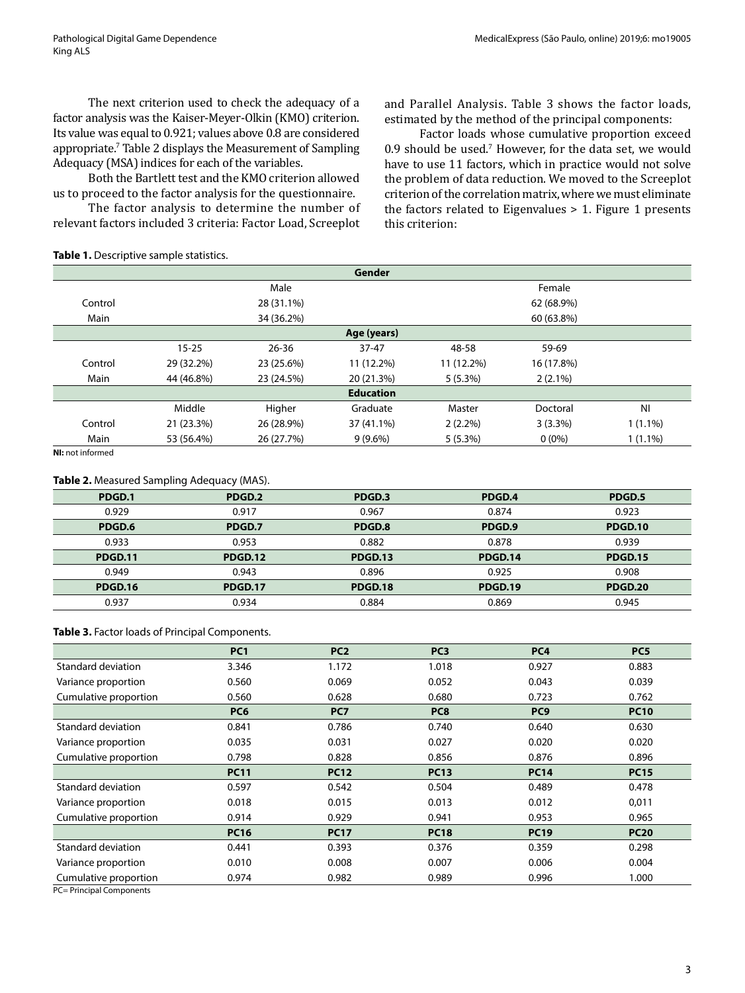The next criterion used to check the adequacy of a factor analysis was the Kaiser-Meyer-Olkin (KMO) criterion. Its value was equal to 0.921; values above 0.8 are considered appropriate.7 Table 2 displays the Measurement of Sampling Adequacy (MSA) indices for each of the variables.

Both the Bartlett test and the KMO criterion allowed us to proceed to the factor analysis for the questionnaire.

The factor analysis to determine the number of relevant factors included 3 criteria: Factor Load, Screeplot and Parallel Analysis. Table 3 shows the factor loads, estimated by the method of the principal components:

Factor loads whose cumulative proportion exceed 0.9 should be used.<sup>7</sup> However, for the data set, we would have to use 11 factors, which in practice would not solve the problem of data reduction. We moved to the Screeplot criterion of the correlation matrix, where we must eliminate the factors related to Eigenvalues  $> 1$ . Figure 1 presents this criterion:

#### **Table 1.** Descriptive sample statistics.

|                  |            |            | Gender     |            |            |            |
|------------------|------------|------------|------------|------------|------------|------------|
|                  |            | Male       |            |            | Female     |            |
| Control          |            | 28 (31.1%) |            |            | 62 (68.9%) |            |
| Main             |            | 34 (36.2%) |            |            | 60 (63.8%) |            |
| Age (years)      |            |            |            |            |            |            |
|                  | $15 - 25$  | $26 - 36$  | $37 - 47$  | 48-58      | 59-69      |            |
| Control          | 29 (32.2%) | 23 (25.6%) | 11 (12.2%) | 11 (12.2%) | 16 (17.8%) |            |
| Main             | 44 (46.8%) | 23 (24.5%) | 20 (21.3%) | 5(5.3%)    | $2(2.1\%)$ |            |
| <b>Education</b> |            |            |            |            |            |            |
|                  | Middle     | Higher     | Graduate   | Master     | Doctoral   | <b>NI</b>  |
| Control          | 21 (23.3%) | 26 (28.9%) | 37 (41.1%) | $2(2.2\%)$ | $3(3.3\%)$ | $1(1.1\%)$ |
| Main             | 53 (56.4%) | 26 (27.7%) | $9(9.6\%)$ | 5(5.3%)    | $0(0\%)$   | $1(1.1\%)$ |

**NI:** not informed

#### **Table 2.** Measured Sampling Adequacy (MAS).

| PDGD.1         | PDGD.2         | PDGD.3         | PDGD.4         | PDGD.5         |
|----------------|----------------|----------------|----------------|----------------|
| 0.929          | 0.917          | 0.967          | 0.874          | 0.923          |
| PDGD.6         | PDGD.7         | PDGD.8         | PDGD.9         | <b>PDGD.10</b> |
| 0.933          | 0.953          | 0.882          | 0.878          | 0.939          |
| <b>PDGD.11</b> | <b>PDGD.12</b> | PDGD.13        | <b>PDGD.14</b> | <b>PDGD.15</b> |
| 0.949          | 0.943          | 0.896          | 0.925          | 0.908          |
| <b>PDGD.16</b> | <b>PDGD.17</b> | <b>PDGD.18</b> | PDGD.19        | <b>PDGD.20</b> |
| 0.937          | 0.934          | 0.884          | 0.869          | 0.945          |

#### **Table 3.** Factor loads of Principal Components.

|                       | PC <sub>1</sub> | PC <sub>2</sub> | PC <sub>3</sub> | PC <sub>4</sub> | PC <sub>5</sub> |
|-----------------------|-----------------|-----------------|-----------------|-----------------|-----------------|
| Standard deviation    | 3.346           | 1.172           | 1.018           | 0.927           | 0.883           |
| Variance proportion   | 0.560           | 0.069           | 0.052           | 0.043           | 0.039           |
| Cumulative proportion | 0.560           | 0.628           | 0.680           | 0.723           | 0.762           |
|                       | PC <sub>6</sub> | PC7             | PC8             | PC <sub>9</sub> | <b>PC10</b>     |
| Standard deviation    | 0.841           | 0.786           | 0.740           | 0.640           | 0.630           |
| Variance proportion   | 0.035           | 0.031           | 0.027           | 0.020           | 0.020           |
| Cumulative proportion | 0.798           | 0.828           | 0.856           | 0.876           | 0.896           |
|                       | <b>PC11</b>     | <b>PC12</b>     | <b>PC13</b>     | <b>PC14</b>     | <b>PC15</b>     |
| Standard deviation    | 0.597           | 0.542           | 0.504           | 0.489           | 0.478           |
| Variance proportion   | 0.018           | 0.015           | 0.013           | 0.012           | 0,011           |
| Cumulative proportion | 0.914           | 0.929           | 0.941           | 0.953           | 0.965           |
|                       | <b>PC16</b>     | <b>PC17</b>     | <b>PC18</b>     | <b>PC19</b>     | <b>PC20</b>     |
| Standard deviation    | 0.441           | 0.393           | 0.376           | 0.359           | 0.298           |
| Variance proportion   | 0.010           | 0.008           | 0.007           | 0.006           | 0.004           |
| Cumulative proportion | 0.974           | 0.982           | 0.989           | 0.996           | 1.000           |

PC= Principal Components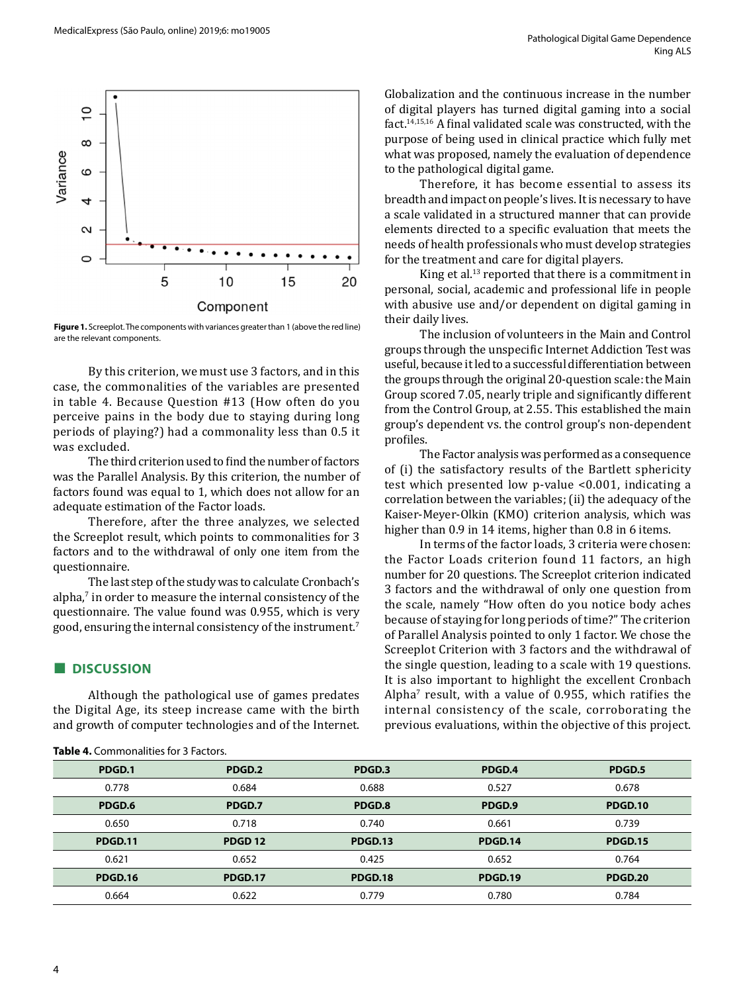

**Figure 1.** Screeplot. The components with variances greater than 1 (above the red line) are the relevant components.

By this criterion, we must use 3 factors, and in this case, the commonalities of the variables are presented in table 4. Because Question #13 (How often do you perceive pains in the body due to staying during long periods of playing?) had a commonality less than 0.5 it was excluded.

The third criterion used to find the number of factors was the Parallel Analysis. By this criterion, the number of factors found was equal to 1, which does not allow for an adequate estimation of the Factor loads.

Therefore, after the three analyzes, we selected the Screeplot result, which points to commonalities for 3 factors and to the withdrawal of only one item from the questionnaire.

The last step of the study was to calculate Cronbach's alpha, $\gamma$  in order to measure the internal consistency of the questionnaire. The value found was 0.955, which is very good, ensuring the internal consistency of the instrument.7

### **■ DISCUSSION**

Although the pathological use of games predates the Digital Age, its steep increase came with the birth and growth of computer technologies and of the Internet. Globalization and the continuous increase in the number of digital players has turned digital gaming into a social fact.14,15,16 A final validated scale was constructed, with the purpose of being used in clinical practice which fully met what was proposed, namely the evaluation of dependence to the pathological digital game.

Therefore, it has become essential to assess its breadth and impact on people's lives. It is necessary to have a scale validated in a structured manner that can provide elements directed to a specific evaluation that meets the needs of health professionals who must develop strategies for the treatment and care for digital players.

King et al.13 reported that there is a commitment in personal, social, academic and professional life in people with abusive use and/or dependent on digital gaming in their daily lives.

The inclusion of volunteers in the Main and Control groups through the unspecific Internet Addiction Test was useful, because it led to a successful differentiation between the groups through the original 20-question scale: the Main Group scored 7.05, nearly triple and significantly different from the Control Group, at 2.55. This established the main group's dependent vs. the control group's non-dependent profiles.

The Factor analysis was performed as a consequence of (i) the satisfactory results of the Bartlett sphericity test which presented low p-value <0.001, indicating a correlation between the variables; (ii) the adequacy of the Kaiser-Meyer-Olkin (KMO) criterion analysis, which was higher than 0.9 in 14 items, higher than 0.8 in 6 items.

In terms of the factor loads, 3 criteria were chosen: the Factor Loads criterion found 11 factors, an high number for 20 questions. The Screeplot criterion indicated 3 factors and the withdrawal of only one question from the scale, namely "How often do you notice body aches because of staying for long periods of time?" The criterion of Parallel Analysis pointed to only 1 factor. We chose the Screeplot Criterion with 3 factors and the withdrawal of the single question, leading to a scale with 19 questions. It is also important to highlight the excellent Cronbach Alpha $^{\prime}$  result, with a value of 0.955, which ratifies the internal consistency of the scale, corroborating the previous evaluations, within the objective of this project.

| PDGD.1         | PDGD.2             | PDGD.3         | PDGD.4         | PDGD.5         |
|----------------|--------------------|----------------|----------------|----------------|
| 0.778          | 0.684              | 0.688          | 0.527          | 0.678          |
| PDGD.6         | PDGD.7             | PDGD.8         | PDGD.9         | <b>PDGD.10</b> |
| 0.650          | 0.718              | 0.740          | 0.661          | 0.739          |
| <b>PDGD.11</b> | PDGD <sub>12</sub> | <b>PDGD.13</b> | <b>PDGD.14</b> | <b>PDGD.15</b> |
| 0.621          | 0.652              | 0.425          | 0.652          | 0.764          |
| <b>PDGD.16</b> | <b>PDGD.17</b>     | <b>PDGD.18</b> | PDGD.19        | <b>PDGD.20</b> |
| 0.664          | 0.622              | 0.779          | 0.780          | 0.784          |

**Table 4.** Commonalities for 3 Factors.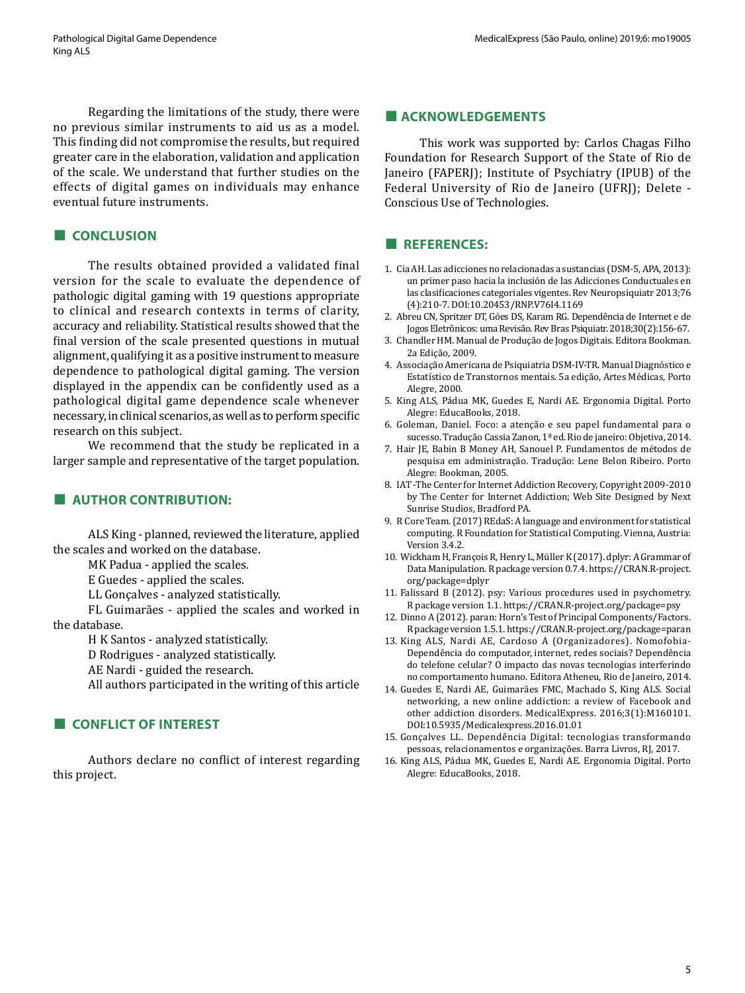Regarding the limitations of the study, there were no previous similar instruments to aid us as a model. This finding did not compromise the results, but required greater care in the elaboration, validation and application of the scale. We understand that further studies on the effects of digital games on individuals may enhance eventual future instruments.

## **■ CONCLUSION**

The results obtained provided a validated final version for the scale to evaluate the dependence of pathologic digital gaming with 19 questions appropriate to clinical and research contexts in terms of clarity, accuracy and reliability. Statistical results showed that the final version of the scale presented questions in mutual alignment, qualifying it as a positive instrument to measure dependence to pathological digital gaming. The version displayed in the appendix can be confidently used as a pathological digital game dependence scale whenever necessary, in clinical scenarios, as well as to perform specific research on this subject.

We recommend that the study be replicated in a larger sample and representative of the target population.

## **■ AUTHOR CONTRIBUTION:**

ALS King - planned, reviewed the literature, applied the scales and worked on the database.

MK Padua - applied the scales.

E Guedes - applied the scales.

LL Gonçalves - analyzed statistically.

FL Guimarães - applied the scales and worked in the database.

H K Santos - analyzed statistically.

D Rodrigues - analyzed statistically.

AE Nardi - guided the research.

All authors participated in the writing of this article

# **■ CONFLICT OF INTEREST**

Authors declare no conflict of interest regarding this project.

#### **■ ACKNOWLEDGEMENTS**

This work was supported by: Carlos Chagas Filho Foundation for Research Support of the State of Rio de Janeiro (FAPERJ); Institute of Psychiatry (IPUB) of the Federal University of Rio de Janeiro (UFRJ); Delete - Conscious Use of Technologies.

## **■ REFERENCES:**

- 1. Cia AH. Las adicciones no relacionadas a sustancias (DSM-5, APA, 2013): un primer paso hacia la inclusión de las Adicciones Conductuales en las clasificaciones categoriales vigentes. Rev Neuropsiquiatr 2013;76 (4):210-7. DOI:10.20453/RNP.V76I4.1169
- 2. Abreu CN, Spritzer DT, Góes DS, Karam RG. Dependência de Internet e de Jogos Eletrônicos: uma Revisão. Rev Bras Psiquiatr. 2018;30(2):156-67.
- 3. Chandler HM. Manual de Produção de Jogos Digitais. Editora Bookman. 2a Edição, 2009.
- 4. Associação Americana de Psiquiatria DSM-IV-TR. Manual Diagnóstico e Estatístico de Transtornos mentais. 5a edição, Artes Médicas, Porto Alegre, 2000.
- 5. King ALS, Pádua MK, Guedes E, Nardi AE. Ergonomia Digital. Porto Alegre: EducaBooks, 2018.
- 6. Goleman, Daniel. Foco: a atenção e seu papel fundamental para o sucesso. Tradução Cassia Zanon, 1ª ed. Rio de janeiro: Objetiva, 2014.
- 7. Hair JE, Babin B Money AH, Sanouel P. Fundamentos de métodos de pesquisa em administração. Tradução: Lene Belon Ribeiro. Porto Alegre: Bookman, 2005.
- 8. IAT -The Center for Internet Addiction Recovery, Copyright 2009-2010 by The Center for Internet Addiction; Web Site Designed by [Next](http://nextsunrise.com/)  [Sunrise Studios, Bradford PA](http://nextsunrise.com/).
- 9. R Core Team. (2017) REdaS: A language and environment for statistical computing. R Foundation for Statistical Computing. Vienna, Austria: Versio[n](https://www.R-project.org/) 3.4.2.
- 10. Wickham H, François R, Henry L, Müller K (2017). dplyr: A Grammar of Data Manipulation. R package version 0.7.4. [https://CRAN.R-project.](https://CRAN.R-project.org/package=dplyr) [org/package=dplyr](https://CRAN.R-project.org/package=dplyr)
- 11. Falissard B (2012). psy: Various procedures used in psychometry. R package version 1.1. <https://CRAN.R-project.org/package=psy>
- 12. Dinno A (2012). paran: Horn's Test of Principal Components/Factors. R package version 1.5.1. <https://CRAN.R-project.org/package=paran>
- 13. King ALS, Nardi AE, Cardoso A (Organizadores). Nomofobia-Dependência do computador, internet, redes sociais? Dependência do telefone celular? O impacto das novas tecnologias interferindo no comportamento humano. Editora Atheneu, Rio de Janeiro, 2014.
- 14. Guedes E, Nardi AE, Guimarães FMC, Machado S, King ALS. Social networking, a new online addiction: a review of Facebook and other addiction disorders. MedicalExpress. 2016;3(1):M160101. DOI:10.5935/Medicalexpress.2016.01.01
- 15. Gonçalves LL. Dependência Digital: tecnologias transformando pessoas, relacionamentos e organizações. Barra Livros, RJ, 2017.
- 16. King ALS, Pádua MK, Guedes E, Nardi AE. Ergonomia Digital. Porto Alegre: EducaBooks, 2018.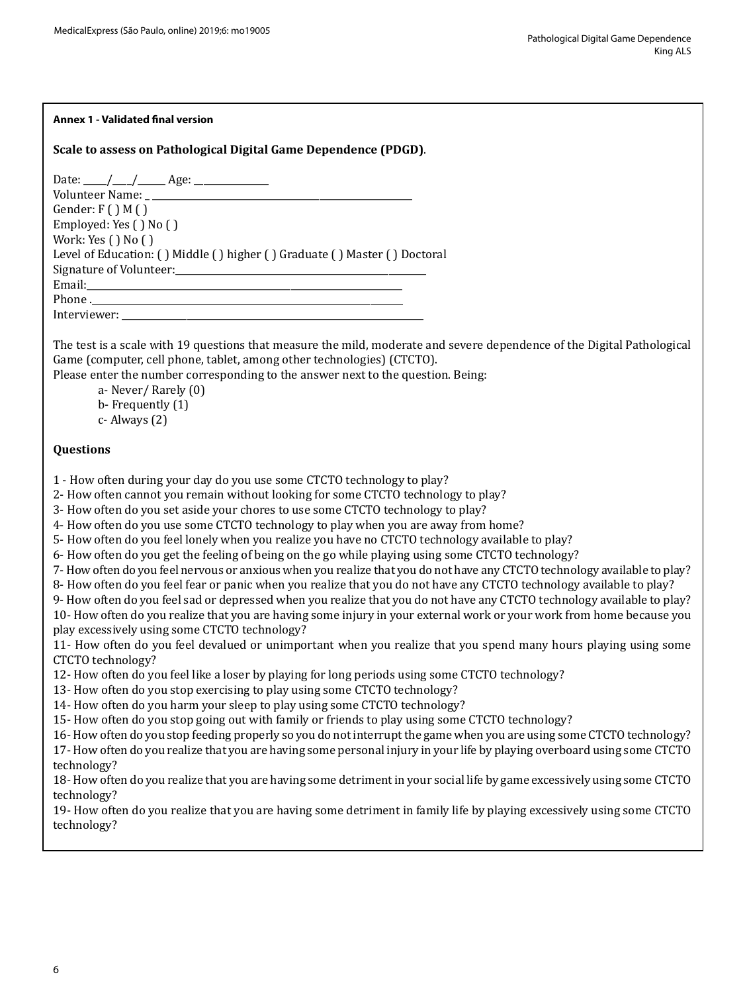#### **Annex 1 - Validated final version**

## **Scale to assess on Pathological Digital Game Dependence (PDGD)**.

Date: \_\_\_\_\_/\_\_\_\_/\_\_\_\_\_\_ Age: \_\_\_\_\_\_\_\_\_\_\_\_\_\_\_\_ Volunteer Name: Gender:  $F()M()$ Employed: Yes ( ) No ( ) Work: Yes ( ) No ( ) Level of Education: ( ) Middle ( ) higher ( ) Graduate ( ) Master ( ) Doctoral Signature of Volunteer:\_\_\_\_\_\_\_\_\_\_\_\_\_\_\_\_\_\_\_\_\_\_\_\_\_\_\_\_\_\_\_\_\_\_\_\_\_\_\_\_\_\_\_\_\_\_\_\_\_\_\_\_\_\_ Email:\_\_\_\_\_\_\_\_\_\_\_\_\_\_\_\_\_\_\_\_\_\_\_\_\_\_\_\_\_\_\_\_\_\_\_\_\_\_\_\_\_\_\_\_\_\_\_\_\_\_\_\_\_\_\_\_\_\_\_\_\_\_\_\_\_\_\_\_ Phone .\_\_\_\_\_\_\_\_\_\_\_\_\_\_\_\_\_\_\_\_\_\_\_\_\_\_\_\_\_\_\_\_\_\_\_\_\_\_\_\_\_\_\_\_\_\_\_\_\_\_\_\_\_\_\_\_\_\_\_\_\_\_\_\_\_\_\_ Interviewer:

The test is a scale with 19 questions that measure the mild, moderate and severe dependence of the Digital Pathological Game (computer, cell phone, tablet, among other technologies) (CTCTO).

Please enter the number corresponding to the answer next to the question. Being:

a- Never/ Rarely (0) b- Frequently (1) c- Always (2)

### **Questions**

1 - How often during your day do you use some CTCTO technology to play?

2- How often cannot you remain without looking for some CTCTO technology to play?

3- How often do you set aside your chores to use some CTCTO technology to play?

4- How often do you use some CTCTO technology to play when you are away from home?

5- How often do you feel lonely when you realize you have no CTCTO technology available to play?

6- How often do you get the feeling of being on the go while playing using some CTCTO technology?

7- How often do you feel nervous or anxious when you realize that you do not have any CTCTO technology available to play?

8- How often do you feel fear or panic when you realize that you do not have any CTCTO technology available to play?

9- How often do you feel sad or depressed when you realize that you do not have any CTCTO technology available to play?

10- How often do you realize that you are having some injury in your external work or your work from home because you play excessively using some CTCTO technology?

11- How often do you feel devalued or unimportant when you realize that you spend many hours playing using some CTCTO technology?

12- How often do you feel like a loser by playing for long periods using some CTCTO technology?

13- How often do you stop exercising to play using some CTCTO technology?

14- How often do you harm your sleep to play using some CTCTO technology?

15- How often do you stop going out with family or friends to play using some CTCTO technology?

16- How often do you stop feeding properly so you do not interrupt the game when you are using some CTCTO technology? 17- How often do you realize that you are having some personal injury in your life by playing overboard using some CTCTO technology?

18- How often do you realize that you are having some detriment in your social life by game excessively using some CTCTO technology?

19- How often do you realize that you are having some detriment in family life by playing excessively using some CTCTO technology?